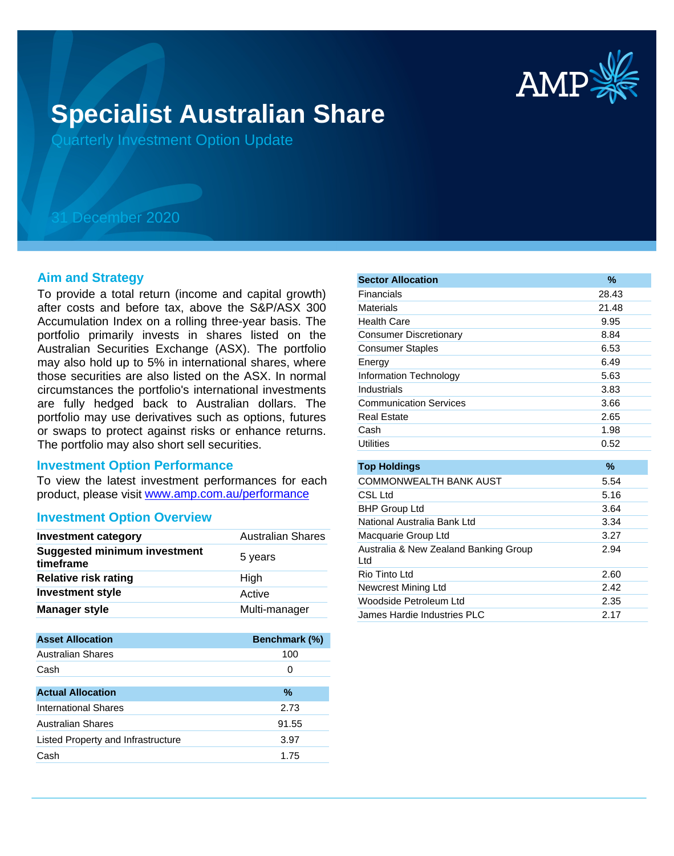

# **Specialist Australian Share**

Quarterly Investment Option Update

# 31 December 2020

### **Aim and Strategy**

To provide a total return (income and capital growth) after costs and before tax, above the S&P/ASX 300 Accumulation Index on a rolling three-year basis. The portfolio primarily invests in shares listed on the Australian Securities Exchange (ASX). The portfolio may also hold up to 5% in international shares, where those securities are also listed on the ASX. In normal circumstances the portfolio's international investments are fully hedged back to Australian dollars. The portfolio may use derivatives such as options, futures or swaps to protect against risks or enhance returns. The portfolio may also short sell securities.

#### **Investment Option Performance**

product, please visit www.amp.com.au/performance To view the latest investment performances for each

## **Investment Option Overview**

| <b>Investment category</b>                       | <b>Australian Shares</b> |
|--------------------------------------------------|--------------------------|
| <b>Suggested minimum investment</b><br>timeframe | 5 years                  |
| <b>Relative risk rating</b>                      | High                     |
| <b>Investment style</b>                          | Active                   |
| <b>Manager style</b>                             | Multi-manager            |

| <b>Asset Allocation</b>            | Benchmark (%) |
|------------------------------------|---------------|
| <b>Australian Shares</b>           | 100           |
| Cash                               | 0             |
|                                    |               |
| <b>Actual Allocation</b>           | %             |
| <b>International Shares</b>        | 2.73          |
| Australian Shares                  | 91.55         |
| Listed Property and Infrastructure | 3.97          |
| Cash                               | 1.75          |

| <b>Sector Allocation</b>                     | %     |
|----------------------------------------------|-------|
| Financials                                   | 28.43 |
| Materials                                    | 21.48 |
| <b>Health Care</b>                           | 9.95  |
| <b>Consumer Discretionary</b>                | 8.84  |
| <b>Consumer Staples</b>                      | 6.53  |
| Energy                                       | 6.49  |
| Information Technology                       | 5.63  |
| Industrials                                  | 3.83  |
| <b>Communication Services</b>                | 3.66  |
| <b>Real Estate</b>                           | 2.65  |
| Cash                                         | 1.98  |
| <b>Utilities</b>                             | 0.52  |
|                                              |       |
| <b>Top Holdings</b>                          | $\%$  |
| <b>COMMONWEALTH BANK AUST</b>                | 5.54  |
| CSL Ltd                                      | 5.16  |
| <b>BHP Group Ltd</b>                         | 3.64  |
| National Australia Bank Ltd                  | 3.34  |
| Macquarie Group Ltd                          | 3.27  |
| Australia & New Zealand Banking Group<br>Ltd | 2.94  |
| Rio Tinto Ltd                                | 2.60  |
| Newcrest Mining Ltd                          | 2.42  |
| Woodside Petroleum Ltd                       | 2.35  |
| James Hardie Industries PLC                  | 2.17  |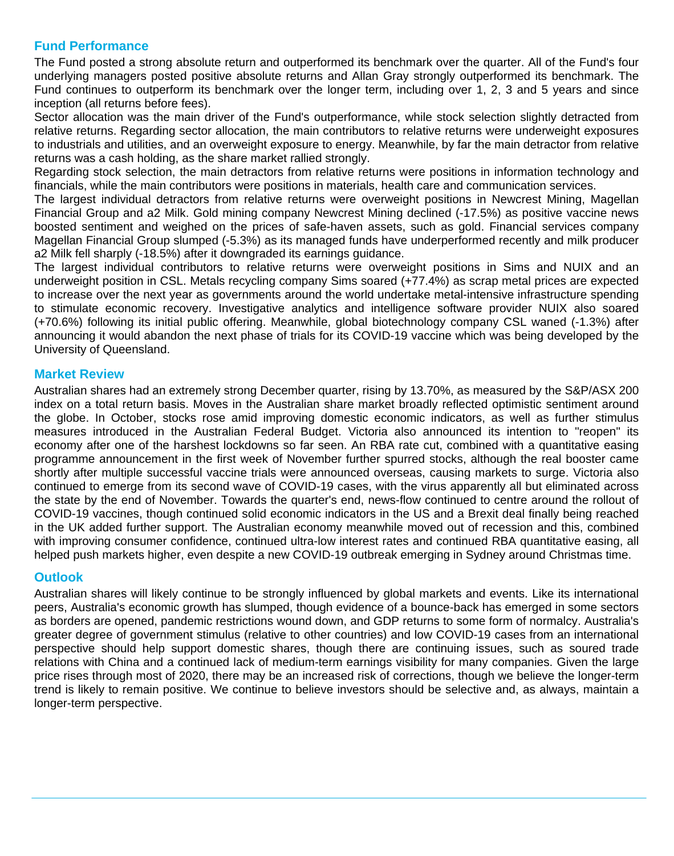# **Fund Performance**

The Fund posted a strong absolute return and outperformed its benchmark over the quarter. All of the Fund's four underlying managers posted positive absolute returns and Allan Gray strongly outperformed its benchmark. The Fund continues to outperform its benchmark over the longer term, including over 1, 2, 3 and 5 years and since inception (all returns before fees).

Sector allocation was the main driver of the Fund's outperformance, while stock selection slightly detracted from relative returns. Regarding sector allocation, the main contributors to relative returns were underweight exposures to industrials and utilities, and an overweight exposure to energy. Meanwhile, by far the main detractor from relative returns was a cash holding, as the share market rallied strongly.

Regarding stock selection, the main detractors from relative returns were positions in information technology and financials, while the main contributors were positions in materials, health care and communication services.

The largest individual detractors from relative returns were overweight positions in Newcrest Mining, Magellan Financial Group and a2 Milk. Gold mining company Newcrest Mining declined (-17.5%) as positive vaccine news boosted sentiment and weighed on the prices of safe-haven assets, such as gold. Financial services company Magellan Financial Group slumped (-5.3%) as its managed funds have underperformed recently and milk producer a2 Milk fell sharply (-18.5%) after it downgraded its earnings guidance.

The largest individual contributors to relative returns were overweight positions in Sims and NUIX and an underweight position in CSL. Metals recycling company Sims soared (+77.4%) as scrap metal prices are expected to increase over the next year as governments around the world undertake metal-intensive infrastructure spending to stimulate economic recovery. Investigative analytics and intelligence software provider NUIX also soared (+70.6%) following its initial public offering. Meanwhile, global biotechnology company CSL waned (-1.3%) after announcing it would abandon the next phase of trials for its COVID-19 vaccine which was being developed by the University of Queensland.

# **Market Review**

Australian shares had an extremely strong December quarter, rising by 13.70%, as measured by the S&P/ASX 200 index on a total return basis. Moves in the Australian share market broadly reflected optimistic sentiment around the globe. In October, stocks rose amid improving domestic economic indicators, as well as further stimulus measures introduced in the Australian Federal Budget. Victoria also announced its intention to "reopen" its economy after one of the harshest lockdowns so far seen. An RBA rate cut, combined with a quantitative easing programme announcement in the first week of November further spurred stocks, although the real booster came shortly after multiple successful vaccine trials were announced overseas, causing markets to surge. Victoria also continued to emerge from its second wave of COVID-19 cases, with the virus apparently all but eliminated across the state by the end of November. Towards the quarter's end, news-flow continued to centre around the rollout of COVID-19 vaccines, though continued solid economic indicators in the US and a Brexit deal finally being reached in the UK added further support. The Australian economy meanwhile moved out of recession and this, combined with improving consumer confidence, continued ultra-low interest rates and continued RBA quantitative easing, all helped push markets higher, even despite a new COVID-19 outbreak emerging in Sydney around Christmas time.

# **Outlook**

Australian shares will likely continue to be strongly influenced by global markets and events. Like its international peers, Australia's economic growth has slumped, though evidence of a bounce-back has emerged in some sectors as borders are opened, pandemic restrictions wound down, and GDP returns to some form of normalcy. Australia's greater degree of government stimulus (relative to other countries) and low COVID-19 cases from an international perspective should help support domestic shares, though there are continuing issues, such as soured trade relations with China and a continued lack of medium-term earnings visibility for many companies. Given the large price rises through most of 2020, there may be an increased risk of corrections, though we believe the longer-term trend is likely to remain positive. We continue to believe investors should be selective and, as always, maintain a longer-term perspective.